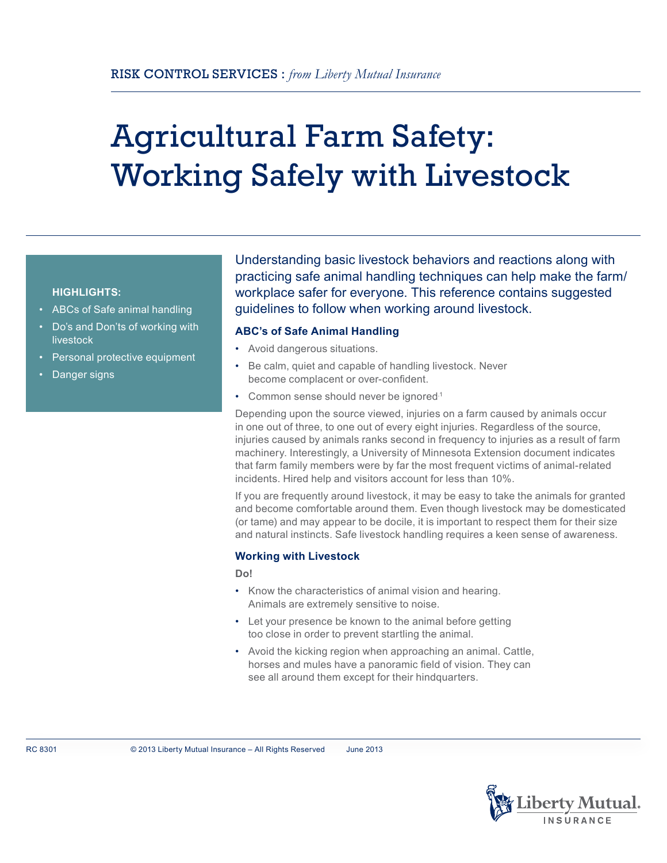# Agricultural Farm Safety: Working Safely with Livestock

## **HIGHLIGHTS:**

- ABCs of Safe animal handling
- Do's and Don'ts of working with livestock
- Personal protective equipment
- Danger signs

Understanding basic livestock behaviors and reactions along with practicing safe animal handling techniques can help make the farm/ workplace safer for everyone. This reference contains suggested guidelines to follow when working around livestock.

## **ABC's of Safe Animal Handling**

- • Avoid dangerous situations.
- • Be calm, quiet and capable of handling livestock. Never become complacent or over-confident.
- Common sense should never be ignored.<sup>1</sup>

Depending upon the source viewed, injuries on a farm caused by animals occur in one out of three, to one out of every eight injuries. Regardless of the source, injuries caused by animals ranks second in frequency to injuries as a result of farm machinery. Interestingly, a University of Minnesota Extension document indicates that farm family members were by far the most frequent victims of animal-related incidents. Hired help and visitors account for less than 10%.

If you are frequently around livestock, it may be easy to take the animals for granted and become comfortable around them. Even though livestock may be domesticated (or tame) and may appear to be docile, it is important to respect them for their size and natural instincts. Safe livestock handling requires a keen sense of awareness.

### **Working with Livestock**

**Do!**

- Know the characteristics of animal vision and hearing. Animals are extremely sensitive to noise.
- Let your presence be known to the animal before getting too close in order to prevent startling the animal.
- Avoid the kicking region when approaching an animal. Cattle, horses and mules have a panoramic field of vision. They can see all around them except for their hindquarters.

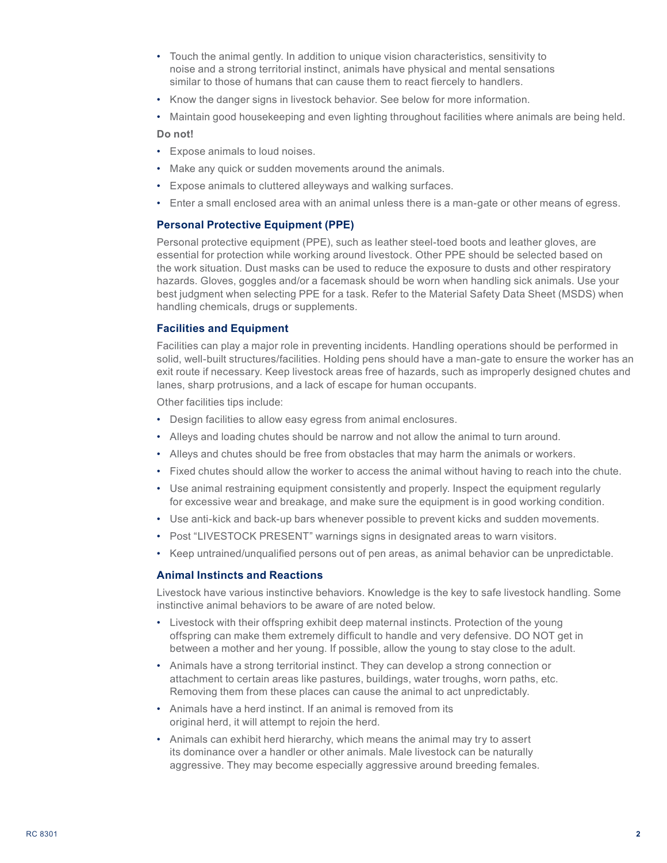- • Touch the animal gently. In addition to unique vision characteristics, sensitivity to noise and a strong territorial instinct, animals have physical and mental sensations similar to those of humans that can cause them to react fiercely to handlers.
- • Know the danger signs in livestock behavior. See below for more information.
- • Maintain good housekeeping and even lighting throughout facilities where animals are being held. **Do not!**
- • Expose animals to loud noises.
- Make any quick or sudden movements around the animals.
- • Expose animals to cluttered alleyways and walking surfaces.
- • Enter a small enclosed area with an animal unless there is a man-gate or other means of egress.

## **Personal Protective Equipment (PPE)**

Personal protective equipment (PPE), such as leather steel-toed boots and leather gloves, are essential for protection while working around livestock. Other PPE should be selected based on the work situation. Dust masks can be used to reduce the exposure to dusts and other respiratory hazards. Gloves, goggles and/or a facemask should be worn when handling sick animals. Use your best judgment when selecting PPE for a task. Refer to the Material Safety Data Sheet (MSDS) when handling chemicals, drugs or supplements.

### **Facilities and Equipment**

Facilities can play a major role in preventing incidents. Handling operations should be performed in solid, well-built structures/facilities. Holding pens should have a man-gate to ensure the worker has an exit route if necessary. Keep livestock areas free of hazards, such as improperly designed chutes and lanes, sharp protrusions, and a lack of escape for human occupants.

Other facilities tips include:

- Design facilities to allow easy egress from animal enclosures.
- • Alleys and loading chutes should be narrow and not allow the animal to turn around.
- • Alleys and chutes should be free from obstacles that may harm the animals or workers.
- • Fixed chutes should allow the worker to access the animal without having to reach into the chute.
- Use animal restraining equipment consistently and properly. Inspect the equipment regularly for excessive wear and breakage, and make sure the equipment is in good working condition.
- • Use anti-kick and back-up bars whenever possible to prevent kicks and sudden movements.
- Post "LIVESTOCK PRESENT" warnings signs in designated areas to warn visitors.
- • Keep untrained/unqualified persons out of pen areas, as animal behavior can be unpredictable.

### **Animal Instincts and Reactions**

Livestock have various instinctive behaviors. Knowledge is the key to safe livestock handling. Some instinctive animal behaviors to be aware of are noted below.

- • Livestock with their offspring exhibit deep maternal instincts. Protection of the young offspring can make them extremely difficult to handle and very defensive. DO NOT get in between a mother and her young. If possible, allow the young to stay close to the adult.
- Animals have a strong territorial instinct. They can develop a strong connection or attachment to certain areas like pastures, buildings, water troughs, worn paths, etc. Removing them from these places can cause the animal to act unpredictably.
- Animals have a herd instinct. If an animal is removed from its original herd, it will attempt to rejoin the herd.
- • Animals can exhibit herd hierarchy, which means the animal may try to assert its dominance over a handler or other animals. Male livestock can be naturally aggressive. They may become especially aggressive around breeding females.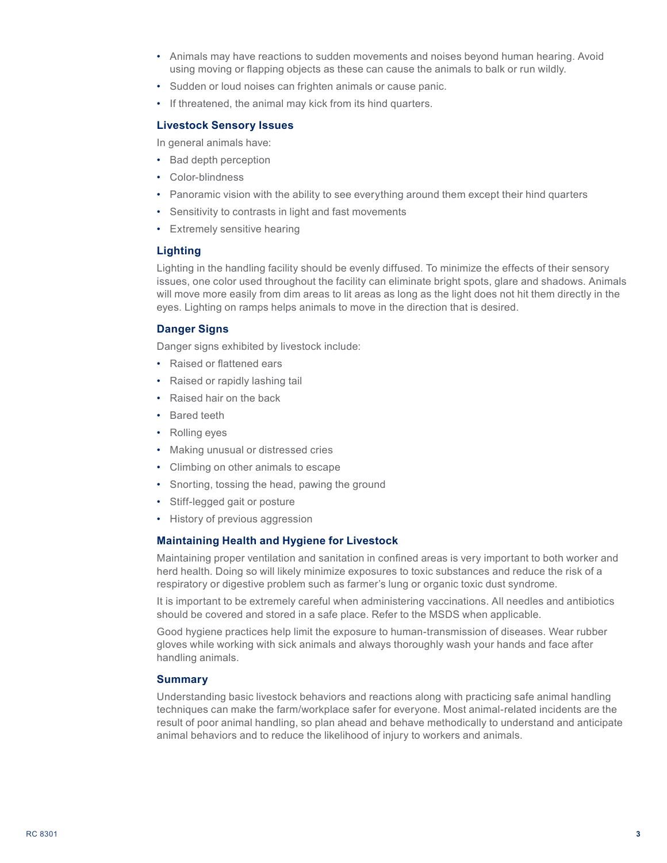- • Animals may have reactions to sudden movements and noises beyond human hearing. Avoid using moving or flapping objects as these can cause the animals to balk or run wildly.
- Sudden or loud noises can frighten animals or cause panic.
- If threatened, the animal may kick from its hind quarters.

#### **Livestock Sensory Issues**

In general animals have:

- • Bad depth perception
- • Color-blindness
- Panoramic vision with the ability to see everything around them except their hind quarters
- Sensitivity to contrasts in light and fast movements
- Extremely sensitive hearing

#### **Lighting**

Lighting in the handling facility should be evenly diffused. To minimize the effects of their sensory issues, one color used throughout the facility can eliminate bright spots, glare and shadows. Animals will move more easily from dim areas to lit areas as long as the light does not hit them directly in the eyes. Lighting on ramps helps animals to move in the direction that is desired.

## **Danger Signs**

Danger signs exhibited by livestock include:

- • Raised or flattened ears
- Raised or rapidly lashing tail
- • Raised hair on the back
- • Bared teeth
- Rolling eyes
- Making unusual or distressed cries
- • Climbing on other animals to escape
- • Snorting, tossing the head, pawing the ground
- • Stiff-legged gait or posture
- • History of previous aggression

### **Maintaining Health and Hygiene for Livestock**

Maintaining proper ventilation and sanitation in confined areas is very important to both worker and herd health. Doing so will likely minimize exposures to toxic substances and reduce the risk of a respiratory or digestive problem such as farmer's lung or organic toxic dust syndrome.

It is important to be extremely careful when administering vaccinations. All needles and antibiotics should be covered and stored in a safe place. Refer to the MSDS when applicable.

Good hygiene practices help limit the exposure to human-transmission of diseases. Wear rubber gloves while working with sick animals and always thoroughly wash your hands and face after handling animals.

### **Summary**

Understanding basic livestock behaviors and reactions along with practicing safe animal handling techniques can make the farm/workplace safer for everyone. Most animal-related incidents are the result of poor animal handling, so plan ahead and behave methodically to understand and anticipate animal behaviors and to reduce the likelihood of injury to workers and animals.